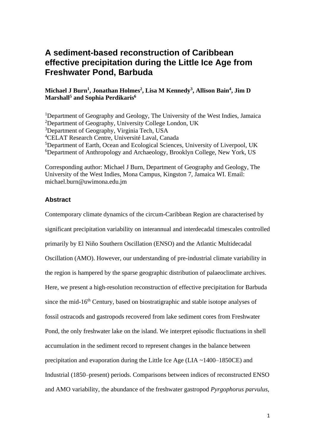# **A sediment-based reconstruction of Caribbean effective precipitation during the Little Ice Age from Freshwater Pond, Barbuda**

## **Michael J Burn<sup>1</sup> , Jonathan Holmes<sup>2</sup> , Lisa M Kennedy<sup>3</sup> , Allison Bain<sup>4</sup> , Jim D Marshall<sup>5</sup> and Sophia Perdikaris<sup>6</sup>**

<sup>1</sup>Department of Geography and Geology, The University of the West Indies, Jamaica <sup>2</sup>Department of Geography, University College London, UK <sup>3</sup>Department of Geography, Virginia Tech, USA <sup>4</sup>CELAT Research Centre, Université Laval, Canada <sup>5</sup>Department of Earth, Ocean and Ecological Sciences, University of Liverpool, UK <sup>6</sup>Department of Anthropology and Archaeology, Brooklyn College, New York, US

Corresponding author: Michael J Burn, Department of Geography and Geology, The University of the West Indies, Mona Campus, Kingston 7, Jamaica WI. Email: michael.burn@uwimona.edu.jm

## **Abstract**

Contemporary climate dynamics of the circum-Caribbean Region are characterised by significant precipitation variability on interannual and interdecadal timescales controlled primarily by El Niño Southern Oscillation (ENSO) and the Atlantic Multidecadal Oscillation (AMO). However, our understanding of pre-industrial climate variability in the region is hampered by the sparse geographic distribution of palaeoclimate archives. Here, we present a high-resolution reconstruction of effective precipitation for Barbuda since the mid- $16<sup>th</sup>$  Century, based on biostratigraphic and stable isotope analyses of fossil ostracods and gastropods recovered from lake sediment cores from Freshwater Pond, the only freshwater lake on the island. We interpret episodic fluctuations in shell accumulation in the sediment record to represent changes in the balance between precipitation and evaporation during the Little Ice Age (LIA ~1400–1850CE) and Industrial (1850–present) periods. Comparisons between indices of reconstructed ENSO and AMO variability, the abundance of the freshwater gastropod *Pyrgophorus parvulus*,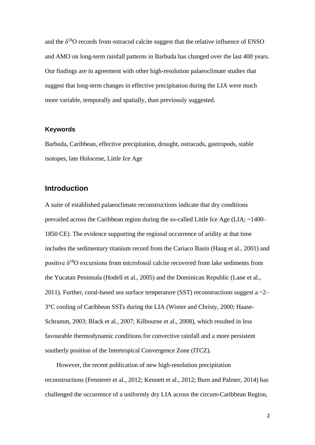and the  $\delta^{18}O$  records from ostracod calcite suggest that the relative influence of ENSO and AMO on long-term rainfall patterns in Barbuda has changed over the last 400 years. Our findings are in agreement with other high-resolution palaeoclimate studies that suggest that long-term changes in effective precipitation during the LIA were much more variable, temporally and spatially, than previously suggested.

#### **Keywords**

Barbuda, Caribbean, effective precipitation, drought, ostracods, gastropods, stable isotopes, late Holocene, Little Ice Age

## **Introduction**

A suite of established palaeoclimate reconstructions indicate that dry conditions prevailed across the Caribbean region during the so-called Little Ice Age (LIA; ~1400– 1850 CE). The evidence supporting the regional occurrence of aridity at that time includes the sedimentary titanium record from the Cariaco Basin (Haug et al., 2001) and positive  $\delta^{18}$ O excursions from microfossil calcite recovered from lake sediments from the Yucatan Peninsula (Hodell et al., 2005) and the Dominican Republic (Lane et al., 2011). Further, coral-based sea surface temperature (SST) reconstructions suggest a  $\sim$ 2– 3°C cooling of Caribbean SSTs during the LIA (Winter and Christy, 2000; Haase-Schramm, 2003; Black et al., 2007; Kilbourne et al., 2008), which resulted in less favourable thermodynamic conditions for convective rainfall and a more persistent southerly position of the Intertropical Convergence Zone (ITCZ).

However, the recent publication of new high-resolution precipitation reconstructions (Fensterer et al., 2012; Kennett et al., 2012; Burn and Palmer, 2014) has challenged the occurrence of a uniformly dry LIA across the circum-Caribbean Region,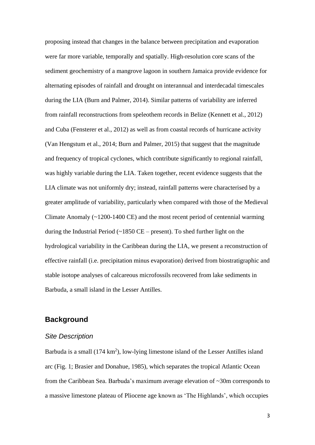proposing instead that changes in the balance between precipitation and evaporation were far more variable, temporally and spatially. High-resolution core scans of the sediment geochemistry of a mangrove lagoon in southern Jamaica provide evidence for alternating episodes of rainfall and drought on interannual and interdecadal timescales during the LIA (Burn and Palmer, 2014). Similar patterns of variability are inferred from rainfall reconstructions from speleothem records in Belize (Kennett et al., 2012) and Cuba (Fensterer et al., 2012) as well as from coastal records of hurricane activity (Van Hengstum et al., 2014; Burn and Palmer, 2015) that suggest that the magnitude and frequency of tropical cyclones, which contribute significantly to regional rainfall, was highly variable during the LIA. Taken together, recent evidence suggests that the LIA climate was not uniformly dry; instead, rainfall patterns were characterised by a greater amplitude of variability, particularly when compared with those of the Medieval Climate Anomaly (~1200-1400 CE) and the most recent period of centennial warming during the Industrial Period  $\left(\sim\right)1850$  CE – present). To shed further light on the hydrological variability in the Caribbean during the LIA, we present a reconstruction of effective rainfall (i.e. precipitation minus evaporation) derived from biostratigraphic and stable isotope analyses of calcareous microfossils recovered from lake sediments in Barbuda, a small island in the Lesser Antilles.

## **Background**

## *Site Description*

Barbuda is a small  $(174 \text{ km}^2)$ , low-lying limestone island of the Lesser Antilles island arc (Fig. 1; Brasier and Donahue, 1985), which separates the tropical Atlantic Ocean from the Caribbean Sea. Barbuda's maximum average elevation of ~30m corresponds to a massive limestone plateau of Pliocene age known as 'The Highlands', which occupies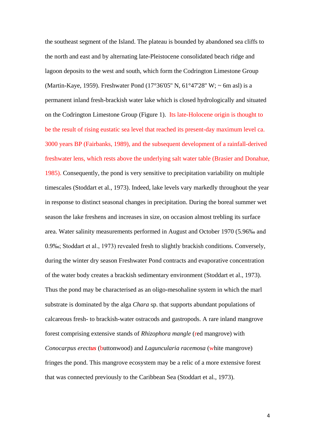the southeast segment of the Island. The plateau is bounded by abandoned sea cliffs to the north and east and by alternating late-Pleistocene consolidated beach ridge and lagoon deposits to the west and south, which form the Codrington Limestone Group (Martin-Kaye, 1959). Freshwater Pond (17°36'05'' N, 61°47'28'' W; ~ 6m asl) is a permanent inland fresh-brackish water lake which is closed hydrologically and situated on the Codrington Limestone Group (Figure 1). Its late-Holocene origin is thought to be the result of rising eustatic sea level that reached its present-day maximum level ca. 3000 years BP (Fairbanks, 1989), and the subsequent development of a rainfall-derived freshwater lens, which rests above the underlying salt water table (Brasier and Donahue, 1985). Consequently, the pond is very sensitive to precipitation variability on multiple timescales (Stoddart et al., 1973). Indeed, lake levels vary markedly throughout the year in response to distinct seasonal changes in precipitation. During the boreal summer wet season the lake freshens and increases in size, on occasion almost trebling its surface area. Water salinity measurements performed in August and October 1970 (5.96‰ and 0.9‰; Stoddart et al., 1973) revealed fresh to slightly brackish conditions. Conversely, during the winter dry season Freshwater Pond contracts and evaporative concentration of the water body creates a brackish sedimentary environment (Stoddart et al., 1973). Thus the pond may be characterised as an oligo-mesohaline system in which the marl substrate is dominated by the alga *Chara* sp. that supports abundant populations of calcareous fresh- to brackish-water ostracods and gastropods. A rare inland mangrove forest comprising extensive stands of *Rhizophora mangle* (red mangrove) with *Conocarpus erectus* (buttonwood) and *Laguncularia racemosa* (white mangrove) fringes the pond. This mangrove ecosystem may be a relic of a more extensive forest that was connected previously to the Caribbean Sea (Stoddart et al., 1973).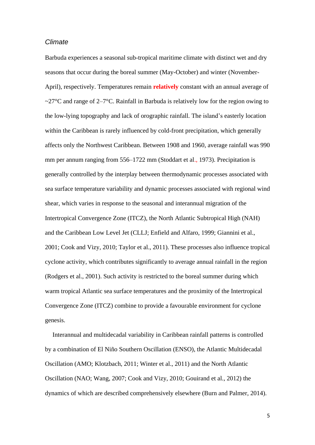## *Climate*

Barbuda experiences a seasonal sub-tropical maritime climate with distinct wet and dry seasons that occur during the boreal summer (May-October) and winter (November-April), respectively. Temperatures remain **relatively** constant with an annual average of ~27 $\degree$ C and range of 2–7 $\degree$ C. Rainfall in Barbuda is relatively low for the region owing to the low-lying topography and lack of orographic rainfall. The island's easterly location within the Caribbean is rarely influenced by cold-front precipitation, which generally affects only the Northwest Caribbean. Between 1908 and 1960, average rainfall was 990 mm per annum ranging from 556–1722 mm (Stoddart et al., 1973). Precipitation is generally controlled by the interplay between thermodynamic processes associated with sea surface temperature variability and dynamic processes associated with regional wind shear, which varies in response to the seasonal and interannual migration of the Intertropical Convergence Zone (ITCZ), the North Atlantic Subtropical High (NAH) and the Caribbean Low Level Jet (CLLJ; Enfield and Alfaro, 1999; Giannini et al., 2001; Cook and Vizy, 2010; Taylor et al., 2011). These processes also influence tropical cyclone activity, which contributes significantly to average annual rainfall in the region (Rodgers et al., 2001). Such activity is restricted to the boreal summer during which warm tropical Atlantic sea surface temperatures and the proximity of the Intertropical Convergence Zone (ITCZ) combine to provide a favourable environment for cyclone genesis.

Interannual and multidecadal variability in Caribbean rainfall patterns is controlled by a combination of El Niño Southern Oscillation (ENSO), the Atlantic Multidecadal Oscillation (AMO; Klotzbach, 2011; Winter et al., 2011) and the North Atlantic Oscillation (NAO; Wang, 2007; Cook and Vizy, 2010; Gouirand et al., 2012) the dynamics of which are described comprehensively elsewhere (Burn and Palmer, 2014).

5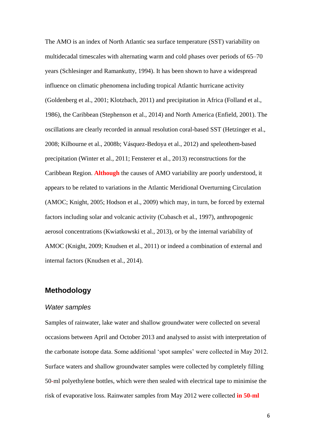The AMO is an index of North Atlantic sea surface temperature (SST) variability on multidecadal timescales with alternating warm and cold phases over periods of 65–70 years (Schlesinger and Ramankutty, 1994). It has been shown to have a widespread influence on climatic phenomena including tropical Atlantic hurricane activity (Goldenberg et al., 2001; Klotzbach, 2011) and precipitation in Africa (Folland et al., 1986), the Caribbean (Stephenson et al., 2014) and North America (Enfield, 2001). The oscillations are clearly recorded in annual resolution coral-based SST (Hetzinger et al., 2008; Kilbourne et al., 2008b; Vásquez-Bedoya et al., 2012) and speleothem-based precipitation (Winter et al., 2011; Fensterer et al., 2013) reconstructions for the Caribbean Region. **Although** the causes of AMO variability are poorly understood, it appears to be related to variations in the Atlantic Meridional Overturning Circulation (AMOC; Knight, 2005; Hodson et al., 2009) which may, in turn, be forced by external factors including solar and volcanic activity (Cubasch et al., 1997), anthropogenic aerosol concentrations (Kwiatkowski et al., 2013), or by the internal variability of AMOC (Knight, 2009; Knudsen et al., 2011) or indeed a combination of external and internal factors (Knudsen et al., 2014).

## **Methodology**

#### *Water samples*

Samples of rainwater, lake water and shallow groundwater were collected on several occasions between April and October 2013 and analysed to assist with interpretation of the carbonate isotope data. Some additional 'spot samples' were collected in May 2012. Surface waters and shallow groundwater samples were collected by completely filling 50-ml polyethylene bottles, which were then sealed with electrical tape to minimise the risk of evaporative loss. Rainwater samples from May 2012 were collected **in 50-ml**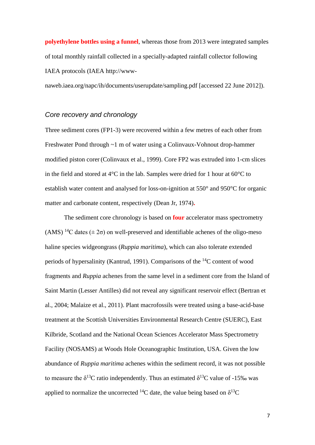**polyethylene bottles using a funnel**, whereas those from 2013 were integrated samples of total monthly rainfall collected in a specially-adapted rainfall collector following IAEA protocols (IAEA http://www-

naweb.iaea.org/napc/ih/documents/userupdate/sampling.pdf [accessed 22 June 2012]).

## *Core recovery and chronology*

Three sediment cores (FP1-3) were recovered within a few metres of each other from Freshwater Pond through ~1 m of water using a Colinvaux-Vohnout drop-hammer modified piston corer (Colinvaux et al., 1999). Core FP2 was extruded into 1-cm slices in the field and stored at 4°C in the lab. Samples were dried for 1 hour at 60°C to establish water content and analysed for loss-on-ignition at 550° and 950°C for organic matter and carbonate content, respectively (Dean Jr, 1974)**.**

The sediment core chronology is based on **four** accelerator mass spectrometry (AMS) <sup>14</sup>C dates ( $\pm 2\sigma$ ) on well-preserved and identifiable achenes of the oligo-meso haline species widgeongrass (*Ruppia maritima*), which can also tolerate extended periods of hypersalinity (Kantrud, 1991). Comparisons of the <sup>14</sup>C content of wood fragments and *Ruppia* achenes from the same level in a sediment core from the Island of Saint Martin (Lesser Antilles) did not reveal any significant reservoir effect (Bertran et al., 2004; Malaize et al., 2011). Plant macrofossils were treated using a base-acid-base treatment at the Scottish Universities Environmental Research Centre (SUERC), East Kilbride, Scotland and the National Ocean Sciences Accelerator Mass Spectrometry Facility (NOSAMS) at Woods Hole Oceanographic Institution, USA. Given the low abundance of *Ruppia maritima* achenes within the sediment record, it was not possible to measure the  $\delta^{13}$ C ratio independently. Thus an estimated  $\delta^{13}$ C value of -15‰ was applied to normalize the uncorrected <sup>14</sup>C date, the value being based on  $\delta^{13}C$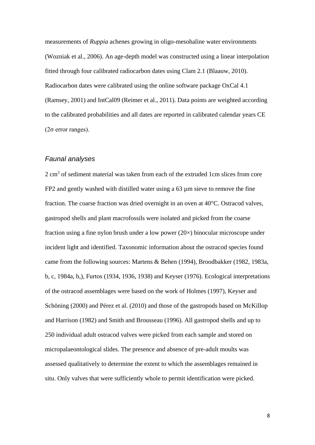measurements of *Ruppia* achenes growing in oligo-mesohaline water environments (Wozniak et al., 2006). An age-depth model was constructed using a linear interpolation fitted through four calibrated radiocarbon dates using Clam 2.1 (Blaauw, 2010). Radiocarbon dates were calibrated using the online software package OxCal 4.1 (Ramsey, 2001) and IntCal09 (Reimer et al., 2011). Data points are weighted according to the calibrated probabilities and all dates are reported in calibrated calendar years CE (2σ error ranges).

## *Faunal analyses*

 $2 \text{ cm}^3$  of sediment material was taken from each of the extruded 1cm slices from core FP2 and gently washed with distilled water using a 63 µm sieve to remove the fine fraction. The coarse fraction was dried overnight in an oven at 40°C. Ostracod valves, gastropod shells and plant macrofossils were isolated and picked from the coarse fraction using a fine nylon brush under a low power  $(20\times)$  binocular microscope under incident light and identified. Taxonomic information about the ostracod species found came from the following sources: Martens & Behen (1994), Broodbakker (1982, 1983a, b, c, 1984a, b,), Furtos (1934, 1936, 1938) and Keyser (1976). Ecological interpretations of the ostracod assemblages were based on the work of Holmes (1997), Keyser and Schöning (2000) and Pérez et al. (2010) and those of the gastropods based on McKillop and Harrison (1982) and Smith and Brousseau (1996). All gastropod shells and up to 250 individual adult ostracod valves were picked from each sample and stored on micropalaeontological slides. The presence and absence of pre-adult moults was assessed qualitatively to determine the extent to which the assemblages remained in situ. Only valves that were sufficiently whole to permit identification were picked.

8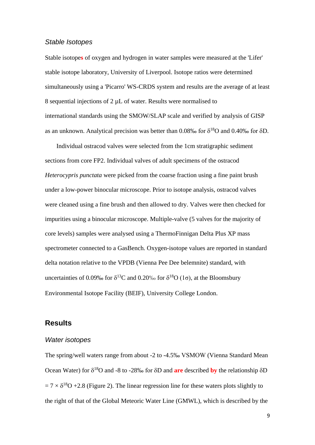## *Stable Isotopes*

Stable isotope**s** of oxygen and hydrogen in water samples were measured at the 'Lifer' stable isotope laboratory, University of Liverpool. Isotope ratios were determined simultaneously using a 'Picarro' WS-CRDS system and results are the average of at least 8 sequential injections of 2 µL of water. Results were normalised to international standards using the SMOW/SLAP scale and verified by analysis of GISP as an unknown. Analytical precision was better than 0.08% for  $\delta^{18}O$  and 0.40% for  $\delta D$ .

Individual ostracod valves were selected from the 1cm stratigraphic sediment sections from core FP2. Individual valves of adult specimens of the ostracod *Heterocypris punctata* were picked from the coarse fraction using a fine paint brush under a low-power binocular microscope. Prior to isotope analysis, ostracod valves were cleaned using a fine brush and then allowed to dry. Valves were then checked for impurities using a binocular microscope. Multiple-valve (5 valves for the majority of core levels) samples were analysed using a ThermoFinnigan Delta Plus XP mass spectrometer connected to a GasBench. Oxygen-isotope values are reported in standard delta notation relative to the VPDB (Vienna Pee Dee belemnite) standard, with uncertainties of 0.09% for  $\delta^{13}C$  and 0.20% for  $\delta^{18}O$  (1 $\sigma$ ), at the Bloomsbury Environmental Isotope Facility (BEIF), University College London.

## **Results**

#### *Water isotopes*

The spring/well waters range from about -2 to -4.5‰ VSMOW (Vienna Standard Mean Ocean Water) for  $\delta^{18}$ O and -8 to -28‰ for  $\delta$ D and **are** described **by** the relationship  $\delta$ D  $= 7 \times \delta^{18}O + 2.8$  (Figure 2). The linear regression line for these waters plots slightly to the right of that of the Global Meteoric Water Line (GMWL), which is described by the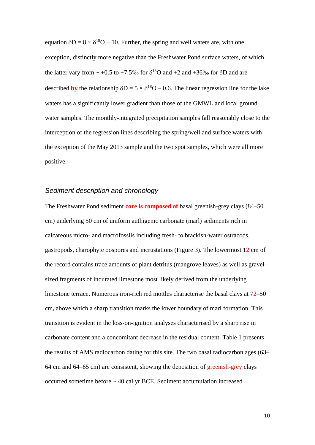equation  $\delta D = 8 \times \delta^{18}O + 10$ . Further, the spring and well waters are, with one exception, distinctly more negative than the Freshwater Pond surface waters, of which the latter vary from  $\sim +0.5$  to  $+7.5\%$  for  $\delta^{18}$ O and  $+2$  and  $+36\%$  for  $\delta$ D and are described **by** the relationship  $\delta D = 5 \times \delta^{18}O - 0.6$ . The linear regression line for the lake waters has a significantly lower gradient than those of the GMWL and local ground water samples. The monthly-integrated precipitation samples fall reasonably close to the interception of the regression lines describing the spring/well and surface waters with the exception of the May 2013 sample and the two spot samples, which were all more positive.

## *Sediment description and chronology*

The Freshwater Pond sediment **core is composed of** basal greenish-grey clays (84–50 cm) underlying 50 cm of uniform authigenic carbonate (marl) sediments rich in calcareous micro- and macrofossils including fresh- to brackish-water ostracods, gastropods, charophyte oospores and incrustations (Figure 3). The lowermost 12 cm of the record contains trace amounts of plant detritus (mangrove leaves) as well as gravelsized fragments of indurated limestone most likely derived from the underlying limestone terrace. Numerous iron-rich red mottles characterise the basal clays at 72–50 cm**,** above which a sharp transition marks the lower boundary of marl formation. This transition is evident in the loss-on-ignition analyses characterised by a sharp rise in carbonate content and a concomitant decrease in the residual content. Table 1 presents the results of AMS radiocarbon dating for this site. The two basal radiocarbon ages (63– 64 cm and 64–65 cm) are consistent**,** showing the deposition of greenish-grey clays occurred sometime before ~ 40 cal yr BCE. Sediment accumulation increased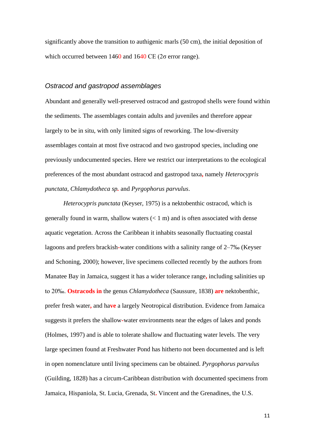significantly above the transition to authigenic marls (50 cm), the initial deposition of which occurred between  $1460$  and  $1640 \text{ CE}$  ( $2\sigma$  error range).

## *Ostracod and gastropod assemblages*

Abundant and generally well-preserved ostracod and gastropod shells were found within the sediments. The assemblages contain adults and juveniles and therefore appear largely to be in situ, with only limited signs of reworking. The low-diversity assemblages contain at most five ostracod and two gastropod species, including one previously undocumented species. Here we restrict our interpretations to the ecological preferences of the most abundant ostracod and gastropod taxa**,** namely *Heterocypris punctata*, *Chlamydotheca sp.* and *Pyrgophorus parvulus*.

 *Heterocypris punctata* (Keyser, 1975) is a nektobenthic ostracod, which is generally found in warm, shallow waters  $(< 1 \text{ m})$  and is often associated with dense aquatic vegetation. Across the Caribbean it inhabits seasonally fluctuating coastal lagoons and prefers brackish**-**water conditions with a salinity range of 2–7‰ (Keyser and Schoning, 2000); however, live specimens collected recently by the authors from Manatee Bay in Jamaica, suggest it has a wider tolerance range**,** including salinities up to 20‰. **Ostracods in** the genus *Chlamydotheca* (Saussure, 1838) **are** nektobenthic, prefer fresh water**,** and ha**ve** a largely Neotropical distribution. Evidence from Jamaica suggests it prefers the shallow**-**water environments near the edges of lakes and ponds (Holmes, 1997) and is able to tolerate shallow and fluctuating water levels. The very large specimen found at Freshwater Pond has hitherto not been documented and is left in open nomenclature until living specimens can be obtained. *Pyrgophorus parvulus* (Guilding, 1828) has a circum-Caribbean distribution with documented specimens from Jamaica, Hispaniola, St. Lucia, Grenada, St**.** Vincent and the Grenadines, the U.S.

11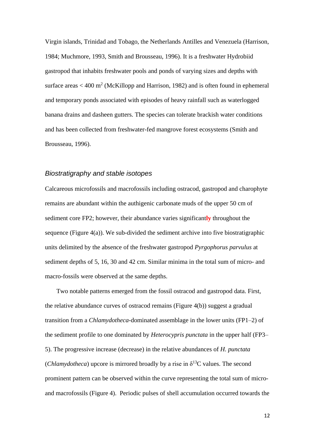Virgin islands, Trinidad and Tobago, the Netherlands Antilles and Venezuela (Harrison, 1984; Muchmore, 1993, Smith and Brousseau, 1996). It is a freshwater Hydrobiid gastropod that inhabits freshwater pools and ponds of varying sizes and depths with surface areas  $<$  400 m<sup>2</sup> (McKillopp and Harrison, 1982) and is often found in ephemeral and temporary ponds associated with episodes of heavy rainfall such as waterlogged banana drains and dasheen gutters. The species can tolerate brackish water conditions and has been collected from freshwater-fed mangrove forest ecosystems (Smith and Brousseau, 1996).

## *Biostratigraphy and stable isotopes*

Calcareous microfossils and macrofossils including ostracod, gastropod and charophyte remains are abundant within the authigenic carbonate muds of the upper 50 cm of sediment core FP2; however, their abundance varies significant**ly** throughout the sequence (Figure  $4(a)$ ). We sub-divided the sediment archive into five biostratigraphic units delimited by the absence of the freshwater gastropod *Pyrgophorus parvulus* at sediment depths of 5, 16, 30 and 42 cm. Similar minima in the total sum of micro- and macro-fossils were observed at the same depths.

Two notable patterns emerged from the fossil ostracod and gastropod data. First, the relative abundance curves of ostracod remains (Figure 4(b)) suggest a gradual transition from a *Chlamydotheca*-dominated assemblage in the lower units (FP1–2) of the sediment profile to one dominated by *Heterocypris punctata* in the upper half (FP3– 5). The progressive increase (decrease) in the relative abundances of *H. punctata* (*Chlamydotheca*) upcore is mirrored broadly by a rise in  $\delta^{13}$ C values. The second prominent pattern can be observed within the curve representing the total sum of microand macrofossils (Figure 4). Periodic pulses of shell accumulation occurred towards the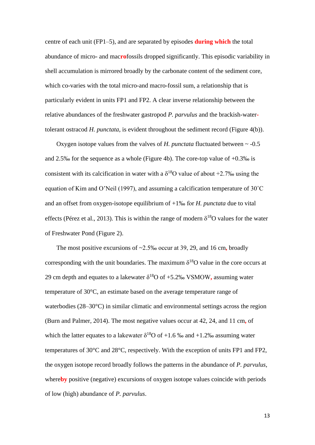centre of each unit (FP1–5), and are separated by episodes **during which** the total abundance of micro- and mac**ro**fossils dropped significantly. This episodic variability in shell accumulation is mirrored broadly by the carbonate content of the sediment core, which co-varies with the total micro-and macro-fossil sum, a relationship that is particularly evident in units FP1 and FP2. A clear inverse relationship between the relative abundances of the freshwater gastropod *P. parvulus* and the brackish-watertolerant ostracod *H. punctata*, is evident throughout the sediment record (Figure 4(b)).

Oxygen isotope values from the valves of *H. punctata* fluctuated between ~ -0.5 and 2.5‰ for the sequence as a whole (Figure 4b). The core-top value of +0.3‰ is consistent with its calcification in water with a  $\delta^{18}$ O value of about +2.7‰ using the equation of Kim and O'Neil (1997), and assuming a calcification temperature of 30˚C and an offset from oxygen-isotope equilibrium of +1‰ for *H. punctata* due to vital effects (Pérez et al., 2013). This is within the range of modern  $\delta^{18}O$  values for the water of Freshwater Pond (Figure 2).

The most positive excursions of ~2.5‰ occur at 39, 29, and 16 cm**,** broadly corresponding with the unit boundaries. The maximum  $\delta^{18}O$  value in the core occurs at 29 cm depth and equates to a lakewater  $\delta^{18}$ O of +5.2% VSMOW, assuming water temperature of 30°C, an estimate based on the average temperature range of waterbodies (28–30°C) in similar climatic and environmental settings across the region (Burn and Palmer, 2014). The most negative values occur at 42, 24, and 11 cm**,** of which the latter equates to a lakewater  $\delta^{18}$ O of +1.6 ‰ and +1.2‰ assuming water temperatures of 30°C and 28°C, respectively. With the exception of units FP1 and FP2, the oxygen isotope record broadly follows the patterns in the abundance of *P. parvulus*, where**by** positive (negative) excursions of oxygen isotope values coincide with periods of low (high) abundance of *P. parvulus*.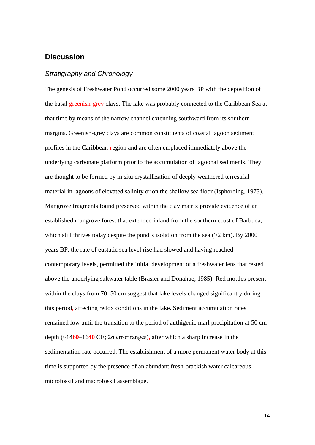## **Discussion**

## *Stratigraphy and Chronology*

The genesis of Freshwater Pond occurred some 2000 years BP with the deposition of the basal greenish**-**grey clays. The lake was probably connected to the Caribbean Sea at that time by means of the narrow channel extending southward from its southern margins. Greenish-grey clays are common constituents of coastal lagoon sediment profiles in the Caribbean **r**egion and are often emplaced immediately above the underlying carbonate platform prior to the accumulation of lagoonal sediments. They are thought to be formed by in situ crystallization of deeply weathered terrestrial material in lagoons of elevated salinity or on the shallow sea floor (Isphording, 1973). Mangrove fragments found preserved within the clay matrix provide evidence of an established mangrove forest that extended inland from the southern coast of Barbuda, which still thrives today despite the pond's isolation from the sea  $(2 \text{ km})$ . By 2000 years BP, the rate of eustatic sea level rise had slowed and having reached contemporary levels, permitted the initial development of a freshwater lens that rested above the underlying saltwater table (Brasier and Donahue, 1985). Red mottles present within the clays from 70–50 cm suggest that lake levels changed significantly during this period**,** affecting redox conditions in the lake. Sediment accumulation rates remained low until the transition to the period of authigenic marl precipitation at 50 cm depth (~14**60**–16**40** CE; 2σ error ranges)**,** after which a sharp increase in the sedimentation rate occurred. The establishment of a more permanent water body at this time is supported by the presence of an abundant fresh-brackish water calcareous microfossil and macrofossil assemblage.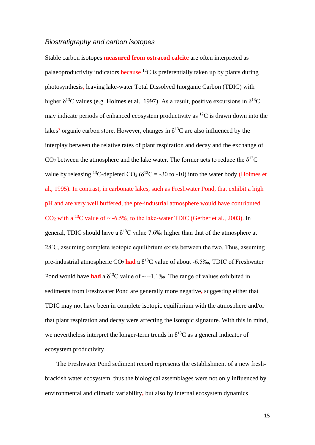## *Biostratigraphy and carbon isotopes*

Stable carbon isotopes **measured from ostracod calcite** are often interpreted as palaeoproductivity indicators because  ${}^{12}C$  is preferentially taken up by plants during photosynthesis**,** leaving lake-water Total Dissolved Inorganic Carbon (TDIC) with higher  $\delta^{13}$ C values (e.g. Holmes et al., 1997). As a result, positive excursions in  $\delta^{13}$ C may indicate periods of enhanced ecosystem productivity as  ${}^{12}C$  is drawn down into the lakes' organic carbon store. However, changes in  $\delta^{13}$ C are also influenced by the interplay between the relative rates of plant respiration and decay and the exchange of CO<sub>2</sub> between the atmosphere and the lake water. The former acts to reduce the  $\delta^{13}C$ value by releasing <sup>13</sup>C-depleted CO<sub>2</sub> ( $\delta^{13}$ C = -30 to -10) into the water body (Holmes et al., 1995). In contrast, in carbonate lakes, such as Freshwater Pond, that exhibit a high pH and are very well buffered, the pre-industrial atmosphere would have contributed  $CO<sub>2</sub>$  with a <sup>13</sup>C value of  $\sim$  -6.5‰ to the lake-water TDIC (Gerber et al., 2003). In general, TDIC should have a  $\delta^{13}$ C value 7.6‰ higher than that of the atmosphere at 28˚C, assuming complete isotopic equilibrium exists between the two. Thus, assuming pre-industrial atmospheric  $CO_2$  had a  $\delta^{13}$ C value of about -6.5‰, TDIC of Freshwater Pond would have **had** a  $\delta^{13}$ C value of ~ +1.1‰. The range of values exhibited in sediments from Freshwater Pond are generally more negative**,** suggesting either that TDIC may not have been in complete isotopic equilibrium with the atmosphere and/or that plant respiration and decay were affecting the isotopic signature. With this in mind, we nevertheless interpret the longer-term trends in  $\delta^{13}C$  as a general indicator of ecosystem productivity.

The Freshwater Pond sediment record represents the establishment of a new freshbrackish water ecosystem, thus the biological assemblages were not only influenced by environmental and climatic variability**,** but also by internal ecosystem dynamics

15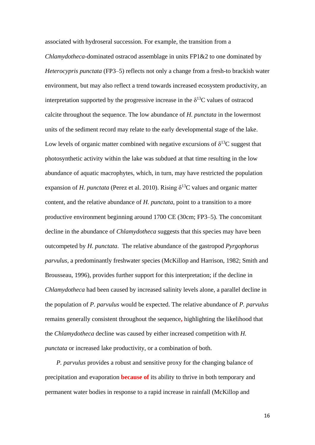associated with hydroseral succession. For example, the transition from a

*Chlamydotheca*-dominated ostracod assemblage in units FP1&2 to one dominated by *Heterocypris punctata* (FP3–5) reflects not only a change from a fresh-to brackish water environment, but may also reflect a trend towards increased ecosystem productivity, an interpretation supported by the progressive increase in the  $\delta^{13}$ C values of ostracod calcite throughout the sequence. The low abundance of *H. punctata* in the lowermost units of the sediment record may relate to the early developmental stage of the lake. Low levels of organic matter combined with negative excursions of  $\delta^{13}C$  suggest that photosynthetic activity within the lake was subdued at that time resulting in the low abundance of aquatic macrophytes, which, in turn, may have restricted the population expansion of *H. punctata* (Perez et al. 2010). Rising  $\delta^{13}$ C values and organic matter content, and the relative abundance of *H. punctata*, point to a transition to a more productive environment beginning around 1700 CE (30cm; FP3–5). The concomitant decline in the abundance of *Chlamydotheca* suggests that this species may have been outcompeted by *H. punctata*. The relative abundance of the gastropod *Pyrgophorus parvulus*, a predominantly freshwater species (McKillop and Harrison, 1982; Smith and Brousseau, 1996), provides further support for this interpretation; if the decline in *Chlamydotheca* had been caused by increased salinity levels alone, a parallel decline in the population of *P. parvulus* would be expected. The relative abundance of *P. parvulus*  remains generally consistent throughout the sequence**,** highlighting the likelihood that the *Chlamydotheca* decline was caused by either increased competition with *H. punctata* or increased lake productivity, or a combination of both.

*P. parvulus* provides a robust and sensitive proxy for the changing balance of precipitation and evaporation **because of** its ability to thrive in both temporary and permanent water bodies in response to a rapid increase in rainfall (McKillop and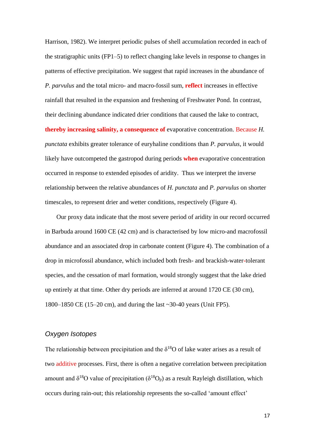Harrison, 1982). We interpret periodic pulses of shell accumulation recorded in each of the stratigraphic units (FP1–5) to reflect changing lake levels in response to changes in patterns of effective precipitation. We suggest that rapid increases in the abundance of *P. parvulus* and the total micro- and macro-fossil sum, **reflect** increases in effective rainfall that resulted in the expansion and freshening of Freshwater Pond. In contrast, their declining abundance indicated drier conditions that caused the lake to contract, **thereby increasing salinity, a consequence of** evaporative concentration. Because *H. punctata* exhibits greater tolerance of euryhaline conditions than *P. parvulus*, it would likely have outcompeted the gastropod during periods **when** evaporative concentration occurred in response to extended episodes of aridity. Thus we interpret the inverse relationship between the relative abundances of *H. punctata* and *P. parvulus* on shorter timescales, to represent drier and wetter conditions, respectively (Figure 4).

Our proxy data indicate that the most severe period of aridity in our record occurred in Barbuda around 1600 CE (42 cm) and is characterised by low micro-and macrofossil abundance and an associated drop in carbonate content (Figure 4). The combination of a drop in microfossil abundance, which included both fresh- and brackish-water**-**tolerant species, and the cessation of marl formation, would strongly suggest that the lake dried up entirely at that time. Other dry periods are inferred at around 1720 CE (30 cm), 1800–1850 CE (15–20 cm), and during the last ~30-40 years (Unit FP5).

## *Oxygen Isotopes*

The relationship between precipitation and the  $\delta^{18}$ O of lake water arises as a result of two additive processes. First, there is often a negative correlation between precipitation amount and  $\delta^{18}O$  value of precipitation ( $\delta^{18}O_p$ ) as a result Rayleigh distillation, which occurs during rain-out; this relationship represents the so-called 'amount effect'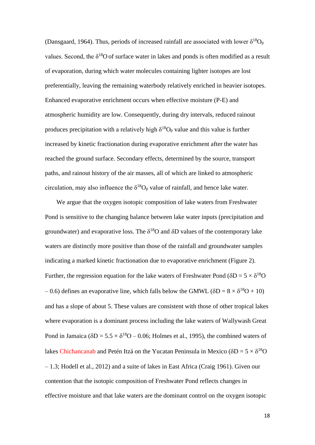(Dansgaard, 1964). Thus, periods of increased rainfall are associated with lower  $\delta^{18}O_p$ values. Second, the  $\delta^{18}$ O of surface water in lakes and ponds is often modified as a result of evaporation, during which water molecules containing lighter isotopes are lost preferentially, leaving the remaining waterbody relatively enriched in heavier isotopes. Enhanced evaporative enrichment occurs when effective moisture (P-E) and atmospheric humidity are low. Consequently, during dry intervals, reduced rainout produces precipitation with a relatively high  $\delta^{18}O_p$  value and this value is further increased by kinetic fractionation during evaporative enrichment after the water has reached the ground surface. Secondary effects, determined by the source, transport paths, and rainout history of the air masses, all of which are linked to atmospheric circulation, may also influence the  $\delta^{18}O_p$  value of rainfall, and hence lake water.

We argue that the oxygen isotopic composition of lake waters from Freshwater Pond is sensitive to the changing balance between lake water inputs (precipitation and groundwater) and evaporative loss. The  $\delta^{18}O$  and  $\delta D$  values of the contemporary lake waters are distinctly more positive than those of the rainfall and groundwater samples indicating a marked kinetic fractionation due to evaporative enrichment (Figure 2). Further, the regression equation for the lake waters of Freshwater Pond ( $\delta D = 5 \times \delta^{18}O$  $-0.6$ ) defines an evaporative line, which falls below the GMWL ( $\delta D = 8 \times \delta^{18}O + 10$ ) and has a slope of about 5. These values are consistent with those of other tropical lakes where evaporation is a dominant process including the lake waters of Wallywash Great Pond in Jamaica ( $\delta D = 5.5 \times \delta^{18}O - 0.06$ ; Holmes et al., 1995), the combined waters of lakes Chichancanab and Petén Itzá on the Yucatan Peninsula in Mexico ( $\delta D = 5 \times \delta^{18}O$ – 1.3; Hodell et al., 2012) and a suite of lakes in East Africa (Craig 1961). Given our contention that the isotopic composition of Freshwater Pond reflects changes in effective moisture and that lake waters are the dominant control on the oxygen isotopic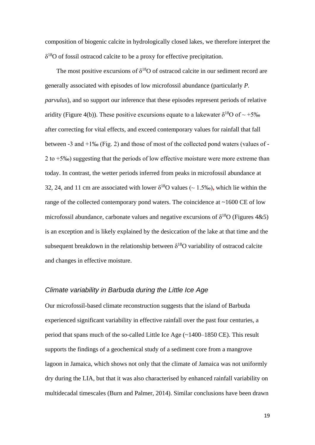composition of biogenic calcite in hydrologically closed lakes, we therefore interpret the  $\delta^{18}$ O of fossil ostracod calcite to be a proxy for effective precipitation.

The most positive excursions of  $\delta^{18}$ O of ostracod calcite in our sediment record are generally associated with episodes of low microfossil abundance (particularly *P. parvulus*), and so support our inference that these episodes represent periods of relative aridity (Figure 4(b)). These positive excursions equate to a lakewater  $\delta^{18}O$  of  $\sim +5\%$ after correcting for vital effects, and exceed contemporary values for rainfall that fall between -3 and +1‰ (Fig. 2) and those of most of the collected pond waters (values of - 2 to +5‰) suggesting that the periods of low effective moisture were more extreme than today. In contrast, the wetter periods inferred from peaks in microfossil abundance at 32, 24, and 11 cm are associated with lower  $\delta^{18}$ O values ( $\sim$  1.5‰), which lie within the range of the collected contemporary pond waters. The coincidence at ~1600 CE of low microfossil abundance, carbonate values and negative excursions of  $\delta^{18}O$  (Figures 4&5) is an exception and is likely explained by the desiccation of the lake at that time and the subsequent breakdown in the relationship between  $\delta^{18}O$  variability of ostracod calcite and changes in effective moisture.

## *Climate variability in Barbuda during the Little Ice Age*

Our microfossil-based climate reconstruction suggests that the island of Barbuda experienced significant variability in effective rainfall over the past four centuries, a period that spans much of the so-called Little Ice Age (~1400–1850 CE). This result supports the findings of a geochemical study of a sediment core from a mangrove lagoon in Jamaica, which shows not only that the climate of Jamaica was not uniformly dry during the LIA, but that it was also characterised by enhanced rainfall variability on multidecadal timescales (Burn and Palmer, 2014). Similar conclusions have been drawn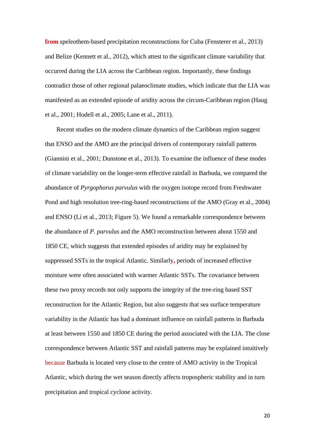**from** speleothem-based precipitation reconstructions for Cuba (Fensterer et al., 2013) and Belize (Kennett et al., 2012), which attest to the significant climate variability that occurred during the LIA across the Caribbean region. Importantly, these findings contradict those of other regional palaeoclimate studies, which indicate that the LIA was manifested as an extended episode of aridity across the circum-Caribbean region (Haug et al., 2001; Hodell et al., 2005; Lane et al., 2011).

Recent studies on the modern climate dynamics of the Caribbean region suggest that ENSO and the AMO are the principal drivers of contemporary rainfall patterns (Giannini et al., 2001; Dunstone et al., 2013). To examine the influence of these modes of climate variability on the longer-term effective rainfall in Barbuda, we compared the abundance of *Pyrgophorus parvulus* with the oxygen isotope record from Freshwater Pond and high resolution tree-ring**-**based reconstructions of the AMO (Gray et al., 2004) and ENSO (Li et al., 2013; Figure 5). We found a remarkable correspondence between the abundance of *P. parvulus* and the AMO reconstruction between about 1550 and 1850 CE, which suggests that extended episodes of aridity may be explained by suppressed SSTs in the tropical Atlantic. Similarly**,** periods of increased effective moisture were often associated with warmer Atlantic SSTs. The covariance between these two proxy records not only supports the integrity of the tree-ring based SST reconstruction for the Atlantic Region, but also suggests that sea surface temperature variability in the Atlantic has had a dominant influence on rainfall patterns in Barbuda at least between 1550 and 1850 CE during the period associated with the LIA. The close correspondence between Atlantic SST and rainfall patterns may be explained intuitively because Barbuda is located very close to the centre of AMO activity in the Tropical Atlantic, which during the wet season directly affects tropospheric stability and in turn precipitation and tropical cyclone activity.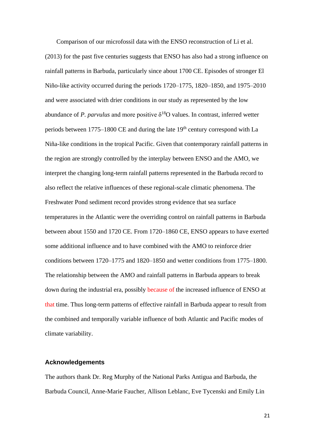Comparison of our microfossil data with the ENSO reconstruction of Li et al. (2013) for the past five centuries suggests that ENSO has also had a strong influence on rainfall patterns in Barbuda, particularly since about 1700 CE. Episodes of stronger El Niño-like activity occurred during the periods 1720–1775, 1820–1850, and 1975–2010 and were associated with drier conditions in our study as represented by the low abundance of *P. parvulus* and more positive  $\delta^{18}$ O values. In contrast, inferred wetter periods between 1775–1800 CE and during the late  $19<sup>th</sup>$  century correspond with La Niña-like conditions in the tropical Pacific. Given that contemporary rainfall patterns in the region are strongly controlled by the interplay between ENSO and the AMO, we interpret the changing long-term rainfall patterns represented in the Barbuda record to also reflect the relative influences of these regional-scale climatic phenomena. The Freshwater Pond sediment record provides strong evidence that sea surface temperatures in the Atlantic were the overriding control on rainfall patterns in Barbuda between about 1550 and 1720 CE. From 1720–1860 CE, ENSO appears to have exerted some additional influence and to have combined with the AMO to reinforce drier conditions between 1720–1775 and 1820–1850 and wetter conditions from 1775–1800. The relationship between the AMO and rainfall patterns in Barbuda appears to break down during the industrial era, possibly because of the increased influence of ENSO at that time. Thus long-term patterns of effective rainfall in Barbuda appear to result from the combined and temporally variable influence of both Atlantic and Pacific modes of climate variability.

## **Acknowledgements**

The authors thank Dr. Reg Murphy of the National Parks Antigua and Barbuda, the Barbuda Council, Anne-Marie Faucher, Allison Leblanc, Eve Tycenski and Emily Lin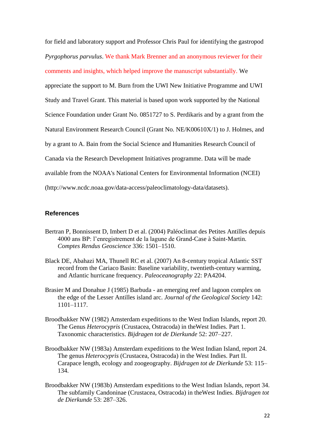for field and laboratory support and Professor Chris Paul for identifying the gastropod *Pyrgophorus parvulus*. We thank Mark Brenner and an anonymous reviewer for their comments and insights, which helped improve the manuscript substantially. We appreciate the support to M. Burn from the UWI New Initiative Programme and UWI Study and Travel Grant. This material is based upon work supported by the National Science Foundation under Grant No. 0851727 to S. Perdikaris and by a grant from the Natural Environment Research Council (Grant No. NE/K00610X/1) to J. Holmes, and by a grant to A. Bain from the Social Science and Humanities Research Council of Canada via the Research Development Initiatives programme. Data will be made available from the NOAA's National Centers for Environmental Information (NCEI) (http://www.ncdc.noaa.gov/data-access/paleoclimatology-data/datasets).

## **References**

- Bertran P, Bonnissent D, Imbert D et al. (2004) Paléoclimat des Petites Antilles depuis 4000 ans BP: l'enregistrement de la lagune de Grand-Case à Saint-Martin. *Comptes Rendus Geoscience* 336: 1501–1510.
- Black DE, Abahazi MA, Thunell RC et al. (2007) An 8-century tropical Atlantic SST record from the Cariaco Basin: Baseline variability, twentieth-century warming, and Atlantic hurricane frequency. *Paleoceanography* 22: PA4204.
- Brasier M and Donahue J (1985) Barbuda an emerging reef and lagoon complex on the edge of the Lesser Antilles island arc. *Journal of the Geological Society* 142: 1101–1117.
- Broodbakker NW (1982) Amsterdam expeditions to the West Indian Islands, report 20. The Genus *Heterocypris* (Crustacea, Ostracoda) in theWest Indies. Part 1. Taxonomic characteristics. *Bijdragen tot de Dierkunde* 52: 207–227.
- Broodbakker NW (1983a) Amsterdam expeditions to the West Indian Island, report 24. The genus *Heterocypris* (Crustacea, Ostracoda) in the West Indies. Part II. Carapace length, ecology and zoogeography. *Bijdragen tot de Dierkunde* 53: 115– 134.
- Broodbakker NW (1983b) Amsterdam expeditions to the West Indian Islands, report 34. The subfamily Candoninae (Crustacea, Ostracoda) in theWest Indies. *Bijdragen tot de Dierkunde* 53: 287–326.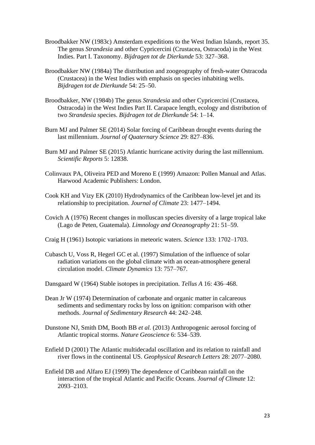- Broodbakker NW (1983c) Amsterdam expeditions to the West Indian Islands, report 35. The genus *Strandesia* and other Cypricercini (Crustacea, Ostracoda) in the West Indies. Part I. Taxonomy. *Bijdragen tot de Dierkunde* 53: 327–368.
- Broodbakker NW (1984a) The distribution and zoogeography of fresh-water Ostracoda (Crustacea) in the West Indies with emphasis on species inhabiting wells. *Bijdragen tot de Dierkunde* 54: 25–50.
- Broodbakker, NW (1984b) The genus *Strandesia* and other Cypricercini (Crustacea, Ostracoda) in the West Indies Part II. Carapace length, ecology and distribution of two *Strandesia* species. *Bijdragen tot de Dierkunde* 54: 1–14.
- Burn MJ and Palmer SE (2014) Solar forcing of Caribbean drought events during the last millennium. *Journal of Quaternary Science* 29: 827–836.
- Burn MJ and Palmer SE (2015) Atlantic hurricane activity during the last millennium. *Scientific Reports* 5: 12838.
- Colinvaux PA, Oliveira PED and Moreno E (1999) Amazon: Pollen Manual and Atlas. Harwood Academic Publishers: London.
- Cook KH and Vizy EK (2010) Hydrodynamics of the Caribbean low-level jet and its relationship to precipitation. *Journal of Climate* 23: 1477–1494.
- Covich A (1976) Recent changes in molluscan species diversity of a large tropical lake (Lago de Peten, Guatemala). *Limnology and Oceanography* 21: 51–59.
- Craig H (1961) Isotopic variations in meteoric waters. *Science* 133: 1702–1703.
- Cubasch U, Voss R, Hegerl GC et al. (1997) Simulation of the influence of solar radiation variations on the global climate with an ocean-atmosphere general circulation model. *Climate Dynamics* 13: 757–767.
- Dansgaard W (1964) Stable isotopes in precipitation. *Tellus A* 16: 436–468.
- Dean Jr W (1974) Determination of carbonate and organic matter in calcareous sediments and sedimentary rocks by loss on ignition: comparison with other methods. *Journal of Sedimentary Research* 44: 242–248.
- Dunstone NJ, Smith DM, Booth BB *et al.* (2013) Anthropogenic aerosol forcing of Atlantic tropical storms. *Nature Geoscience* 6: 534–539.
- Enfield D (2001) The Atlantic multidecadal oscillation and its relation to rainfall and river flows in the continental US. *Geophysical Research Letters* 28: 2077–2080.
- Enfield DB and Alfaro EJ (1999) The dependence of Caribbean rainfall on the interaction of the tropical Atlantic and Pacific Oceans. *Journal of Climate* 12: 2093–2103.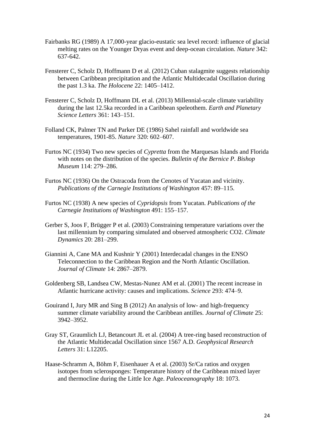- Fairbanks RG (1989) A 17,000-year glacio-eustatic sea level record: influence of glacial melting rates on the Younger Dryas event and deep-ocean circulation. *Nature* 342: 637-642.
- Fensterer C, Scholz D, Hoffmann D et al. (2012) Cuban stalagmite suggests relationship between Caribbean precipitation and the Atlantic Multidecadal Oscillation during the past 1.3 ka. *The Holocene* 22: 1405–1412.
- Fensterer C, Scholz D, Hoffmann DL et al. (2013) Millennial-scale climate variability during the last 12.5ka recorded in a Caribbean speleothem. *Earth and Planetary Science Letters* 361: 143–151.
- Folland CK, Palmer TN and Parker DE (1986) Sahel rainfall and worldwide sea temperatures, 1901-85. *Nature* 320: 602–607.
- Furtos NC (1934) Two new species of *Cypretta* from the Marquesas Islands and Florida with notes on the distribution of the species. *Bulletin of the Bernice P. Bishop Museum* 114: 279–286.
- Furtos NC (1936) On the Ostracoda from the Cenotes of Yucatan and vicinity. *Publications of the Carnegie Institutions of Washington* 457: 89–115.
- Furtos NC (1938) A new species of *Cypridopsis* from Yucatan. *Publications of the Carnegie Institutions of Washington* 491: 155–157.
- Gerber S, Joos F, Brügger P et al. (2003) Constraining temperature variations over the last millennium by comparing simulated and observed atmospheric CO2. *Climate Dynamics* 20: 281–299.
- Giannini A, Cane MA and Kushnir Y (2001) Interdecadal changes in the ENSO Teleconnection to the Caribbean Region and the North Atlantic Oscillation. *Journal of Climate* 14: 2867–2879.
- Goldenberg SB, Landsea CW, Mestas-Nunez AM et al. (2001) The recent increase in Atlantic hurricane activity: causes and implications. *Science* 293: 474–9.
- Gouirand I, Jury MR and Sing B (2012) An analysis of low- and high-frequency summer climate variability around the Caribbean antilles. *Journal of Climate* 25: 3942–3952.
- Gray ST, Graumlich LJ, Betancourt JL et al. (2004) A tree-ring based reconstruction of the Atlantic Multidecadal Oscillation since 1567 A.D. *Geophysical Research Letters* 31: L12205.
- Haase-Schramm A, Böhm F, Eisenhauer A et al. (2003) Sr/Ca ratios and oxygen isotopes from sclerosponges: Temperature history of the Caribbean mixed layer and thermocline during the Little Ice Age. *Paleoceanography* 18: 1073.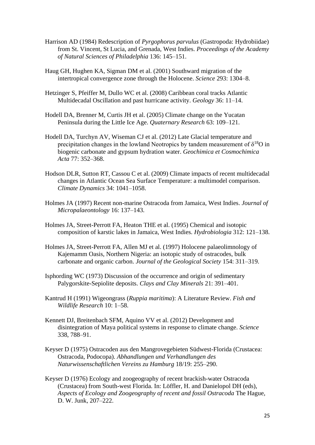- Harrison AD (1984) Redescription of *Pyrgophorus parvulus* (Gastropoda: Hydrobiidae) from St. Vincent, St Lucia, and Grenada, West Indies. *Proceedings of the Academy of Natural Sciences of Philadelphia* 136: 145–151.
- Haug GH, Hughen KA, Sigman DM et al. (2001) Southward migration of the intertropical convergence zone through the Holocene. *Science* 293: 1304–8.
- Hetzinger S, Pfeiffer M, Dullo WC et al. (2008) Caribbean coral tracks Atlantic Multidecadal Oscillation and past hurricane activity. *Geology* 36: 11–14.
- Hodell DA, Brenner M, Curtis JH et al. (2005) Climate change on the Yucatan Peninsula during the Little Ice Age. *Quaternary Research* 63: 109–121.
- Hodell DA, Turchyn AV, Wiseman CJ et al. (2012) Late Glacial temperature and precipitation changes in the lowland Neotropics by tandem measurement of  $\delta^{18}O$  in biogenic carbonate and gypsum hydration water. *Geochimica et Cosmochimica Acta* 77: 352–368.
- Hodson DLR, Sutton RT, Cassou C et al. (2009) Climate impacts of recent multidecadal changes in Atlantic Ocean Sea Surface Temperature: a multimodel comparison. *Climate Dynamics* 34: 1041–1058.
- Holmes JA (1997) Recent non-marine Ostracoda from Jamaica, West Indies. *Journal of Micropalaeontology* 16: 137–143.
- Holmes JA, Street-Perrott FA, Heaton THE et al. (1995) Chemical and isotopic composition of karstic lakes in Jamaica, West Indies. *Hydrobiologia* 312: 121–138.
- Holmes JA, Street-Perrott FA, Allen MJ et al. (1997) Holocene palaeolimnology of Kajemamm Oasis, Northern Nigeria: an isotopic study of ostracodes, bulk carbonate and organic carbon. *Journal of the Geological Society* 154: 311–319.
- Isphording WC (1973) Discussion of the occurrence and origin of sedimentary Palygorskite-Sepiolite deposits. *Clays and Clay Minerals* 21: 391–401.
- Kantrud H (1991) Wigeongrass (*Ruppia maritima*): A Literature Review. *Fish and Wildlife Research* 10: 1–58.
- Kennett DJ, Breitenbach SFM, Aquino VV et al. (2012) Development and disintegration of Maya political systems in response to climate change. *Science* 338, 788–91.
- Keyser D (1975) Ostracoden aus den Mangrovegebieten Südwest-Florida (Crustacea: Ostracoda, Podocopa). *Abhandlungen und Verhandlungen des Naturwissenschaftlichen Vereins zu Hamburg* 18/19: 255–290.
- Keyser D (1976) Ecology and zoogeography of recent brackish-water Ostracoda (Crustacea) from South-west Florida. In: Löffler, H. and Danielopol DH (eds), *Aspects of Ecology and Zoogeography of recent and fossil Ostracoda* The Hague, D. W. Junk, 207–222.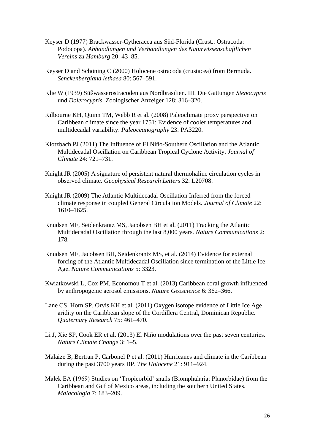- Keyser D (1977) Brackwasser-Cytheracea aus Süd-Florida (Crust.: Ostracoda: Podocopa). *Abhandlungen und Verhandlungen des Naturwissenschaftlichen Vereins zu Hamburg* 20: 43–85.
- Keyser D and Schöning C (2000) Holocene ostracoda (crustacea) from Bermuda. *Senckenbergiana lethaea* 80: 567–591.
- Klie W (1939) Süßwasserostracoden aus Nordbrasilien. III. Die Gattungen *Stenocypris* und *Dolerocypris*. Zoologischer Anzeiger 128: 316–320.
- Kilbourne KH, Quinn TM, Webb R et al. (2008) Paleoclimate proxy perspective on Caribbean climate since the year 1751: Evidence of cooler temperatures and multidecadal variability. *Paleoceanography* 23: PA3220.
- Klotzbach PJ (2011) The Influence of El Niño-Southern Oscillation and the Atlantic Multidecadal Oscillation on Caribbean Tropical Cyclone Activity. *Journal of Climate* 24: 721–731.
- Knight JR (2005) A signature of persistent natural thermohaline circulation cycles in observed climate. *Geophysical Research Letters* 32: L20708.
- Knight JR (2009) The Atlantic Multidecadal Oscillation Inferred from the forced climate response in coupled General Circulation Models. *Journal of Climate* 22: 1610–1625.
- Knudsen MF, Seidenkrantz MS, Jacobsen BH et al. (2011) Tracking the Atlantic Multidecadal Oscillation through the last 8,000 years. *Nature Communications* 2: 178.
- Knudsen MF, Jacobsen BH, Seidenkrantz MS, et al. (2014) Evidence for external forcing of the Atlantic Multidecadal Oscillation since termination of the Little Ice Age. *Nature Communications* 5: 3323.
- Kwiatkowski L, Cox PM, Economou T et al. (2013) Caribbean coral growth influenced by anthropogenic aerosol emissions. *Nature Geoscience* 6: 362–366.
- Lane CS, Horn SP, Orvis KH et al. (2011) Oxygen isotope evidence of Little Ice Age aridity on the Caribbean slope of the Cordillera Central, Dominican Republic. *Quaternary Research* 75: 461–470.
- Li J, Xie SP, Cook ER et al. (2013) El Niño modulations over the past seven centuries. *Nature Climate Change* 3: 1–5.
- Malaize B, Bertran P, Carbonel P et al. (2011) Hurricanes and climate in the Caribbean during the past 3700 years BP. *The Holocene* 21: 911–924.
- Malek EA (1969) Studies on 'Tropicorbid' snails (Biomphalaria: Planorbidae) from the Caribbean and Guf of Mexico areas, including the southern United States. *Malacologia* 7: 183–209.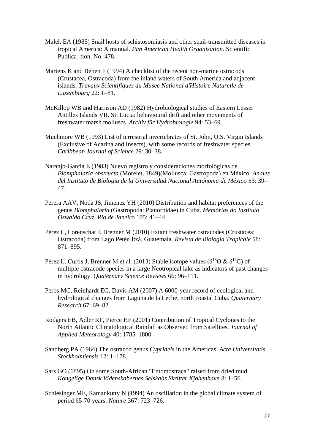- Malek EA (1985) Snail hosts of schistosomiasis and other snail-transmitted diseases in tropical America: A manual. *Pan American Health Organization*. Scientific Publica- tion, No. 478.
- Martens K and Behen F (1994) A checklist of the recent non-marine ostracods (Crustacea, Ostracoda) from the inland waters of South America and adjacent islands. *Travaux Scientifiques du Musee National d'Histoire Naturelle de Luxembourg* 22: 1–81.
- McKillop WB and Harrison AD (1982) Hydrobiological studies of Eastern Lesser Antilles Islands VII. St. Lucia: behavioural drift and other movements of freshwater marsh molluscs. *Archiv für Hydrobiologie* 94: 53–69.
- Muchmore WB (1993) List of terrestrial invertebrates of St. John, U.S. Virgin Islands (Exclusive of Acarina and Insects), with some records of freshwater species. *Caribbean Journal of Science* 29: 30–38.
- Naranjo-Garcia E (1983) Nuevo registro y consideraciones morfológicas de *Biomphalaria obstructa* (Morelet, 1849)(Mollusca: Gastropoda) en México. *Anales del Instituto de Biologia de la Universidad Nacional Autónoma de México* 53: 39– 47.
- Perera AAV, Noda JS, Jimenez YH (2010) Distribution and habitat preferences of the genus *Biomphalaria* (Gastropoda: Planorbidae) in Cuba. *Memórias do Instituto Oswaldo Cruz, Rio de Janeiro* 105: 41–44.
- Pérez L, Lorenschat J, Brenner M (2010) Extant freshwater ostracodes (Crustacea: Ostracoda) from Lago Petén Itzá, Guatemala. *Revista de Biología Tropicale* 58: 871–895.
- Pérez L, Curtis J, Brenner M et al. (2013) Stable isotope values ( $\delta^{18}O \& \delta^{13}C$ ) of multiple ostracode species in a large Neotropical lake as indicators of past changes in hydrology. *Quaternary Science Reviews* 66: 96–111.
- Peros MC, Reinhardt EG, Davis AM (2007) A 6000-year record of ecological and hydrological changes from Laguna de la Leche, north coastal Cuba. *Quaternary Research* 67: 69–82.
- Rodgers EB, Adler RF, Pierce HF (2001) Contribution of Tropical Cyclones to the North Atlantic Climatological Rainfall as Observed from Satellites. *Journal of Applied Meteorology* 40: 1785–1800.
- Sandberg PA (1964) The ostracod genus *Cyprideis* in the Americas. *Acta Universitatis Stockholmiensis* 12: 1–178.
- Sars GO (1895) On some South-African "Entomostraca" raised from dried mud. *Kongelige Dansk Videnskabernes Selskabs Skrifter Kjøbenhavn* 8: 1–56.
- Schlesinger ME, Ramankutty N (1994) An oscillation in the global climate system of period 65-70 years. *Nature* 367: 723–726.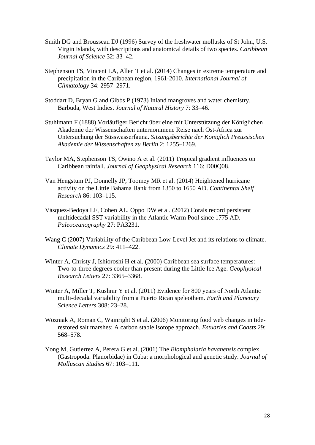- Smith DG and Brousseau DJ (1996) Survey of the freshwater mollusks of St John, U.S. Virgin Islands, with descriptions and anatomical details of two species. *Caribbean Journal of Science* 32: 33–42.
- Stephenson TS, Vincent LA, Allen T et al. (2014) Changes in extreme temperature and precipitation in the Caribbean region, 1961-2010. *International Journal of Climatology* 34: 2957–2971.
- Stoddart D, Bryan G and Gibbs P (1973) Inland mangroves and water chemistry, Barbuda, West Indies. *Journal of Natural History* 7: 33–46.
- Stuhlmann F (1888) Vorläufiger Bericht über eine mit Unterstützung der Königlichen Akademie der Wissenschaften unternommene Reise nach Ost-Africa zur Untersuchung der Süsswasserfauna. *Sitzungsberichte der Königlich Preussischen Akademie der Wissenschaften zu Berlin* 2: 1255–1269.
- Taylor MA, Stephenson TS, Owino A et al. (2011) Tropical gradient influences on Caribbean rainfall. *Journal of Geophysical Research* 116: D00Q08.
- Van Hengstum PJ, Donnelly JP, Toomey MR et al. (2014) Heightened hurricane activity on the Little Bahama Bank from 1350 to 1650 AD. *Continental Shelf Research* 86: 103–115.
- Vásquez-Bedoya LF, Cohen AL, Oppo DW et al. (2012) Corals record persistent multidecadal SST variability in the Atlantic Warm Pool since 1775 AD. *Paleoceanography* 27: PA3231.
- Wang C (2007) Variability of the Caribbean Low-Level Jet and its relations to climate. *Climate Dynamics* 29: 411–422.
- Winter A, Christy J, Ishioroshi H et al. (2000) Caribbean sea surface temperatures: Two-to-three degrees cooler than present during the Little Ice Age. *Geophysical Research Letters* 27: 3365–3368.
- Winter A, Miller T, Kushnir Y et al. (2011) Evidence for 800 years of North Atlantic multi-decadal variability from a Puerto Rican speleothem. *Earth and Planetary Science Letters* 308: 23–28.
- Wozniak A, Roman C, Wainright S et al. (2006) Monitoring food web changes in tiderestored salt marshes: A carbon stable isotope approach. *Estuaries and Coasts* 29: 568–578.
- Yong M, Gutierrez A, Perera G et al. (2001) The *Biomphalaria havanensis* complex (Gastropoda: Planorbidae) in Cuba: a morphological and genetic study. *Journal of Molluscan Studies* 67: 103–111.